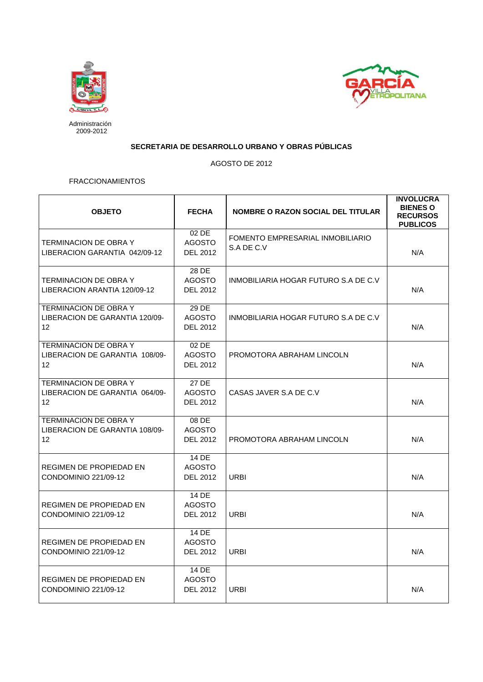



Administración 2009-2012

## **SECRETARIA DE DESARROLLO URBANO Y OBRAS PÚBLICAS**

AGOSTO DE 2012

## FRACCIONAMIENTOS

| <b>OBJETO</b>                                                                       | <b>FECHA</b>                              | <b>NOMBRE O RAZON SOCIAL DEL TITULAR</b>       | <b>INVOLUCRA</b><br><b>BIENES O</b><br><b>RECURSOS</b><br><b>PUBLICOS</b> |
|-------------------------------------------------------------------------------------|-------------------------------------------|------------------------------------------------|---------------------------------------------------------------------------|
| <b>TERMINACION DE OBRA Y</b><br>LIBERACION GARANTIA 042/09-12                       | 02 DE<br><b>AGOSTO</b><br><b>DEL 2012</b> | FOMENTO EMPRESARIAL INMOBILIARIO<br>S.A DE C.V | N/A                                                                       |
| <b>TERMINACION DE OBRA Y</b><br>LIBERACION ARANTIA 120/09-12                        | 28 DE<br><b>AGOSTO</b><br>DEL 2012        | INMOBILIARIA HOGAR FUTURO S.A DE C.V           | N/A                                                                       |
| <b>TERMINACION DE OBRA Y</b><br>LIBERACION DE GARANTIA 120/09-<br>$12 \overline{ }$ | 29 DE<br><b>AGOSTO</b><br>DEL 2012        | INMOBILIARIA HOGAR FUTURO S.A DE C.V.          | N/A                                                                       |
| <b>TERMINACION DE OBRA Y</b><br>LIBERACION DE GARANTIA 108/09-<br>12                | 02 DE<br><b>AGOSTO</b><br>DEL 2012        | PROMOTORA ABRAHAM LINCOLN                      | N/A                                                                       |
| <b>TERMINACION DE OBRA Y</b><br>LIBERACION DE GARANTIA 064/09-<br>$12 \overline{ }$ | 27 DE<br><b>AGOSTO</b><br>DEL 2012        | CASAS JAVER S.A DE C.V                         | N/A                                                                       |
| <b>TERMINACION DE OBRA Y</b><br>LIBERACION DE GARANTIA 108/09-<br>12                | 08 DE<br><b>AGOSTO</b><br><b>DEL 2012</b> | PROMOTORA ABRAHAM LINCOLN                      | N/A                                                                       |
| REGIMEN DE PROPIEDAD EN<br>CONDOMINIO 221/09-12                                     | 14 DE<br><b>AGOSTO</b><br>DEL 2012        | <b>URBI</b>                                    | N/A                                                                       |
| <b>REGIMEN DE PROPIEDAD EN</b><br>CONDOMINIO 221/09-12                              | 14 DE<br><b>AGOSTO</b><br>DEL 2012        | <b>URBI</b>                                    | N/A                                                                       |
| <b>REGIMEN DE PROPIEDAD EN</b><br>CONDOMINIO 221/09-12                              | 14 DE<br><b>AGOSTO</b><br>DEL 2012        | <b>URBI</b>                                    | N/A                                                                       |
| <b>REGIMEN DE PROPIEDAD EN</b><br>CONDOMINIO 221/09-12                              | 14 DE<br><b>AGOSTO</b><br>DEL 2012        | <b>URBI</b>                                    | N/A                                                                       |